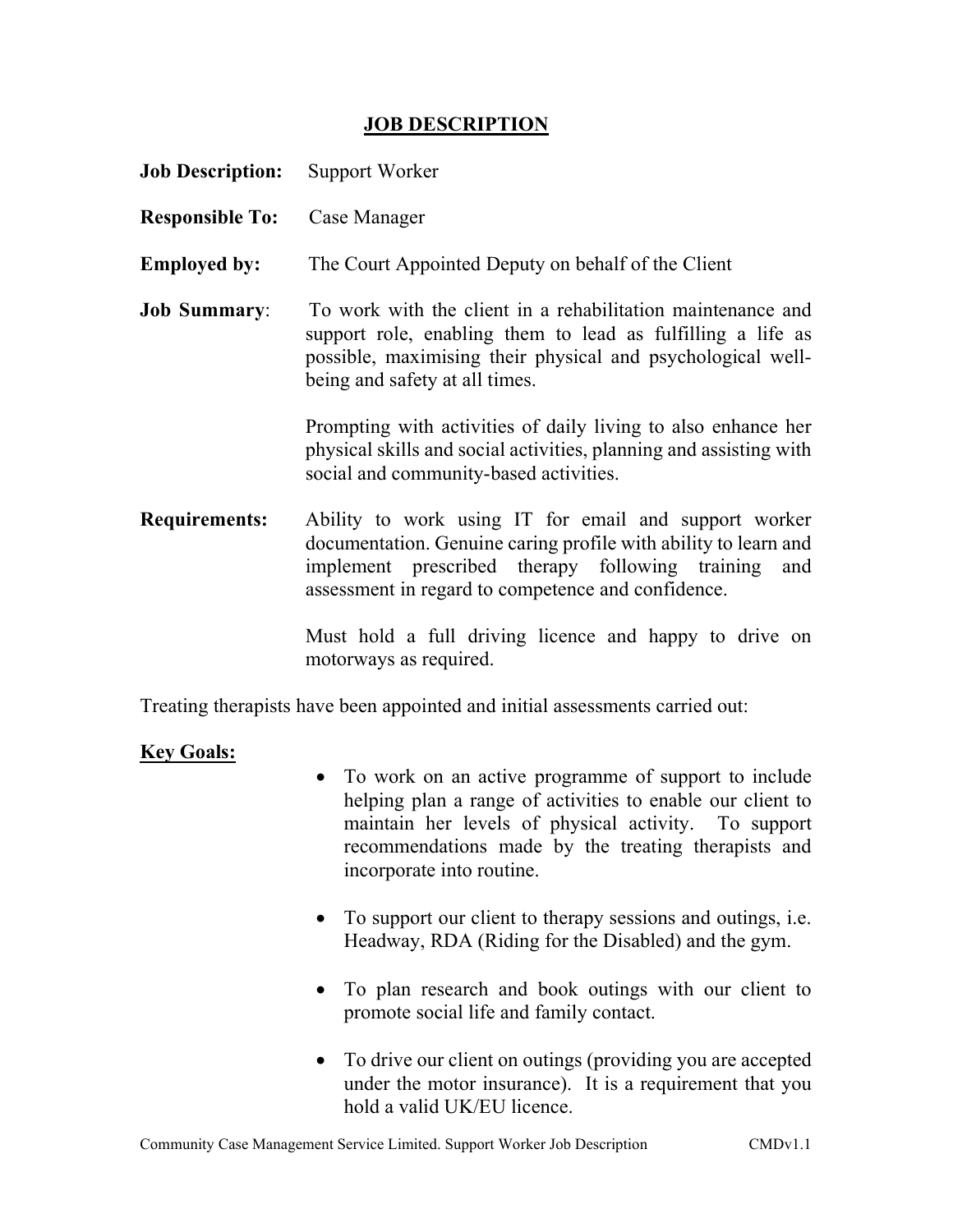## JOB DESCRIPTION

| <b>Job Description:</b> | Support Worker                                                                                                                                                                                                                        |
|-------------------------|---------------------------------------------------------------------------------------------------------------------------------------------------------------------------------------------------------------------------------------|
| <b>Responsible To:</b>  | Case Manager                                                                                                                                                                                                                          |
| <b>Employed by:</b>     | The Court Appointed Deputy on behalf of the Client                                                                                                                                                                                    |
| <b>Job Summary:</b>     | To work with the client in a rehabilitation maintenance and<br>support role, enabling them to lead as fulfilling a life as<br>possible, maximising their physical and psychological well-<br>being and safety at all times.           |
|                         | Prompting with activities of daily living to also enhance her<br>physical skills and social activities, planning and assisting with<br>social and community-based activities.                                                         |
| <b>Requirements:</b>    | Ability to work using IT for email and support worker<br>documentation. Genuine caring profile with ability to learn and<br>implement prescribed therapy following training and<br>assessment in regard to competence and confidence. |
|                         | Must hold a full driving licence and happy to drive on<br>motorways as required.                                                                                                                                                      |
|                         |                                                                                                                                                                                                                                       |

Treating therapists have been appointed and initial assessments carried out:

## Key Goals:

- To work on an active programme of support to include helping plan a range of activities to enable our client to maintain her levels of physical activity. To support recommendations made by the treating therapists and incorporate into routine.
- To support our client to therapy sessions and outings, i.e. Headway, RDA (Riding for the Disabled) and the gym.
- To plan research and book outings with our client to promote social life and family contact.
- To drive our client on outings (providing you are accepted under the motor insurance). It is a requirement that you hold a valid UK/EU licence.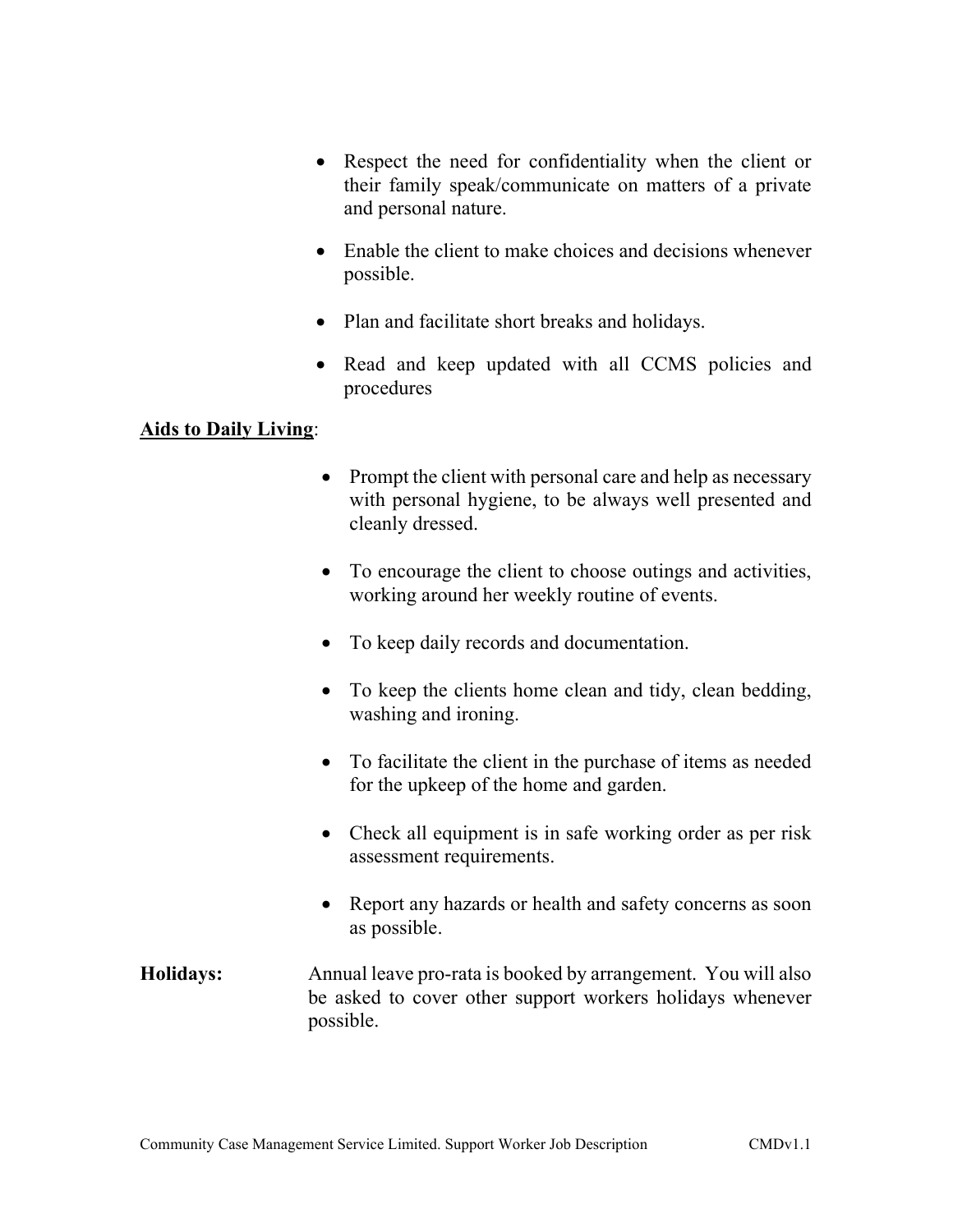- Respect the need for confidentiality when the client or their family speak/communicate on matters of a private and personal nature.
- Enable the client to make choices and decisions whenever possible.
- Plan and facilitate short breaks and holidays.
- Read and keep updated with all CCMS policies and procedures

## Aids to Daily Living:

- Prompt the client with personal care and help as necessary with personal hygiene, to be always well presented and cleanly dressed.
- To encourage the client to choose outings and activities, working around her weekly routine of events.
- To keep daily records and documentation.
- To keep the clients home clean and tidy, clean bedding, washing and ironing.
- To facilitate the client in the purchase of items as needed for the upkeep of the home and garden.
- Check all equipment is in safe working order as per risk assessment requirements.
- Report any hazards or health and safety concerns as soon as possible.
- Holidays: Annual leave pro-rata is booked by arrangement. You will also be asked to cover other support workers holidays whenever possible.